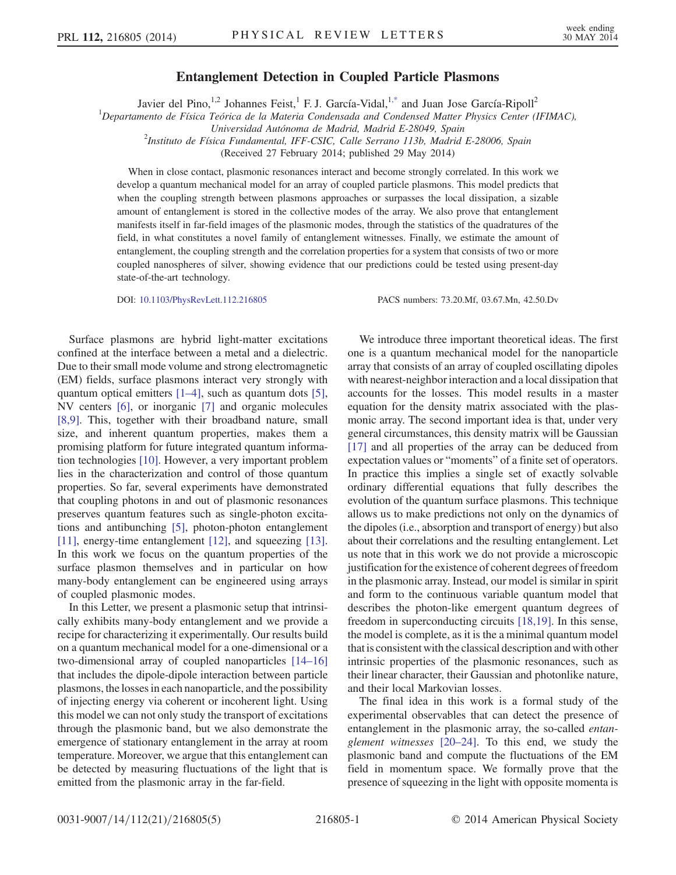## Entanglement Detection in Coupled Particle Plasmons

Javier del Pino,<sup>1,2</sup> Johannes Feist,<sup>1</sup> F. J. García-Vidal,<sup>1[,\\*](#page-4-0)</sup> and Juan Jose García-Ripoll<sup>2</sup>

<span id="page-0-0"></span><sup>1</sup>Departamento de Física Teórica de la Materia Condensada and Condensed Matter Physics Center (IFIMAC),

 $2$ Instituto de Física Fundamental, IFF-CSIC, Calle Serrano 113b, Madrid E-28006, Spain

(Received 27 February 2014; published 29 May 2014)

When in close contact, plasmonic resonances interact and become strongly correlated. In this work we develop a quantum mechanical model for an array of coupled particle plasmons. This model predicts that when the coupling strength between plasmons approaches or surpasses the local dissipation, a sizable amount of entanglement is stored in the collective modes of the array. We also prove that entanglement manifests itself in far-field images of the plasmonic modes, through the statistics of the quadratures of the field, in what constitutes a novel family of entanglement witnesses. Finally, we estimate the amount of entanglement, the coupling strength and the correlation properties for a system that consists of two or more coupled nanospheres of silver, showing evidence that our predictions could be tested using present-day state-of-the-art technology.

DOI: [10.1103/PhysRevLett.112.216805](http://dx.doi.org/10.1103/PhysRevLett.112.216805) PACS numbers: 73.20.Mf, 03.67.Mn, 42.50.Dv

Surface plasmons are hybrid light-matter excitations confined at the interface between a metal and a dielectric. Due to their small mode volume and strong electromagnetic (EM) fields, surface plasmons interact very strongly with quantum optical emitters [1–[4\]](#page-4-1), such as quantum dots [\[5\]](#page-4-2), NV centers [\[6\],](#page-4-3) or inorganic [\[7\]](#page-4-4) and organic molecules [\[8,9\].](#page-4-5) This, together with their broadband nature, small size, and inherent quantum properties, makes them a promising platform for future integrated quantum information technologies [\[10\]](#page-4-6). However, a very important problem lies in the characterization and control of those quantum properties. So far, several experiments have demonstrated that coupling photons in and out of plasmonic resonances preserves quantum features such as single-photon excitations and antibunching [\[5\],](#page-4-2) photon-photon entanglement [\[11\]](#page-4-7), energy-time entanglement [\[12\]](#page-4-8), and squeezing [\[13\]](#page-4-9). In this work we focus on the quantum properties of the surface plasmon themselves and in particular on how many-body entanglement can be engineered using arrays of coupled plasmonic modes.

In this Letter, we present a plasmonic setup that intrinsically exhibits many-body entanglement and we provide a recipe for characterizing it experimentally. Our results build on a quantum mechanical model for a one-dimensional or a two-dimensional array of coupled nanoparticles [\[14](#page-4-10)–16] that includes the dipole-dipole interaction between particle plasmons, the losses in each nanoparticle, and the possibility of injecting energy via coherent or incoherent light. Using this model we can not only study the transport of excitations through the plasmonic band, but we also demonstrate the emergence of stationary entanglement in the array at room temperature. Moreover, we argue that this entanglement can be detected by measuring fluctuations of the light that is emitted from the plasmonic array in the far-field.

We introduce three important theoretical ideas. The first one is a quantum mechanical model for the nanoparticle array that consists of an array of coupled oscillating dipoles with nearest-neighbor interaction and a local dissipation that accounts for the losses. This model results in a master equation for the density matrix associated with the plasmonic array. The second important idea is that, under very general circumstances, this density matrix will be Gaussian [\[17\]](#page-4-11) and all properties of the array can be deduced from expectation values or "moments" of a finite set of operators. In practice this implies a single set of exactly solvable ordinary differential equations that fully describes the evolution of the quantum surface plasmons. This technique allows us to make predictions not only on the dynamics of the dipoles (i.e., absorption and transport of energy) but also about their correlations and the resulting entanglement. Let us note that in this work we do not provide a microscopic justification for the existence of coherent degrees of freedom in the plasmonic array. Instead, our model is similar in spirit and form to the continuous variable quantum model that describes the photon-like emergent quantum degrees of freedom in superconducting circuits [\[18,19\]](#page-4-12). In this sense, the model is complete, as it is the a minimal quantum model that is consistent with the classical description and with other intrinsic properties of the plasmonic resonances, such as their linear character, their Gaussian and photonlike nature, and their local Markovian losses.

The final idea in this work is a formal study of the experimental observables that can detect the presence of entanglement in the plasmonic array, the so-called entanglement witnesses [20–[24\].](#page-4-13) To this end, we study the plasmonic band and compute the fluctuations of the EM field in momentum space. We formally prove that the presence of squeezing in the light with opposite momenta is

Universidad Autónoma de Madrid, Madrid E-28049, Spain <sup>2</sup>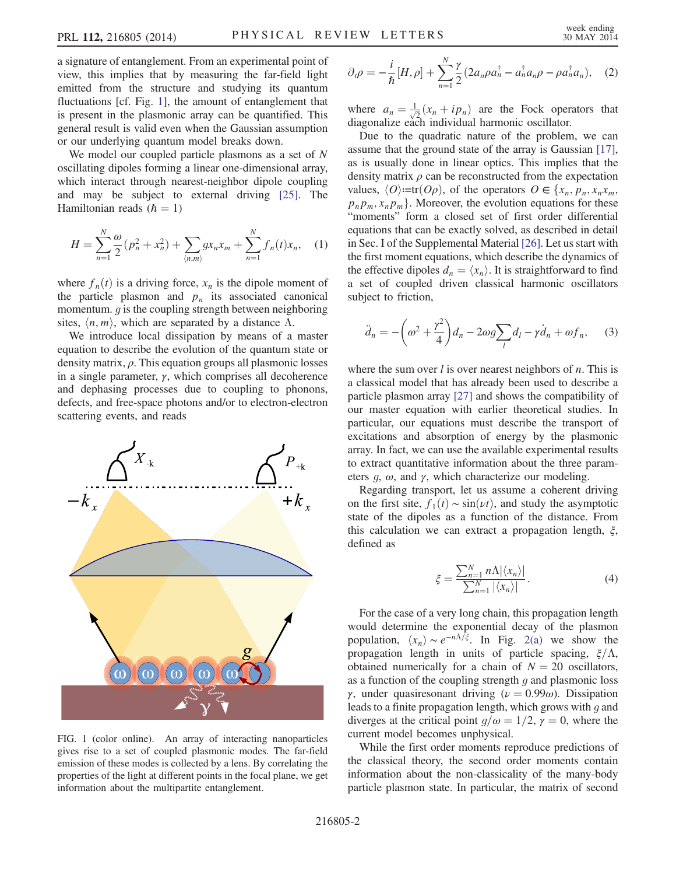a signature of entanglement. From an experimental point of view, this implies that by measuring the far-field light emitted from the structure and studying its quantum fluctuations [cf. Fig. [1](#page-1-0)], the amount of entanglement that is present in the plasmonic array can be quantified. This general result is valid even when the Gaussian assumption or our underlying quantum model breaks down.

We model our coupled particle plasmons as a set of N oscillating dipoles forming a linear one-dimensional array, which interact through nearest-neighbor dipole coupling and may be subject to external driving [\[25\]](#page-4-14). The Hamiltonian reads  $(h = 1)$ 

$$
H = \sum_{n=1}^{N} \frac{\omega}{2} (p_n^2 + x_n^2) + \sum_{\langle n,m \rangle} g x_n x_m + \sum_{n=1}^{N} f_n(t) x_n, \quad (1)
$$

where  $f_n(t)$  is a driving force,  $x_n$  is the dipole moment of the particle plasmon and  $p_n$  its associated canonical momentum.  $g$  is the coupling strength between neighboring sites,  $\langle n, m \rangle$ , which are separated by a distance Λ.

We introduce local dissipation by means of a master equation to describe the evolution of the quantum state or density matrix,  $\rho$ . This equation groups all plasmonic losses in a single parameter,  $\gamma$ , which comprises all decoherence and dephasing processes due to coupling to phonons, defects, and free-space photons and/or to electron-electron scattering events, and reads

<span id="page-1-0"></span>

FIG. 1 (color online). An array of interacting nanoparticles gives rise to a set of coupled plasmonic modes. The far-field emission of these modes is collected by a lens. By correlating the properties of the light at different points in the focal plane, we get information about the multipartite entanglement.

$$
\partial_t \rho = -\frac{i}{\hbar} [H, \rho] + \sum_{n=1}^N \frac{\gamma}{2} (2a_n \rho a_n^{\dagger} - a_n^{\dagger} a_n \rho - \rho a_n^{\dagger} a_n), \quad (2)
$$

where  $a_n = \frac{1}{\sqrt{2}}(x_n + ip_n)$  are the Fock operators that diagonalize each individual harmonic oscillator diagonalize each individual harmonic oscillator.

Due to the quadratic nature of the problem, we can assume that the ground state of the array is Gaussian [\[17\]](#page-4-11), as is usually done in linear optics. This implies that the density matrix  $\rho$  can be reconstructed from the expectation values,  $\langle O \rangle$ =tr $(O \rho)$ , of the operators  $O \in \{x_n, p_n, x_n, x_m\}$  $p_n p_m$ ,  $x_n p_m$ . Moreover, the evolution equations for these "moments" form a closed set of first order differential equations that can be exactly solved, as described in detail in Sec. I of the Supplemental Material [\[26\].](#page-4-15) Let us start with the first moment equations, which describe the dynamics of the effective dipoles  $d_n = \langle x_n \rangle$ . It is straightforward to find a set of coupled driven classical harmonic oscillators subject to friction,

$$
\ddot{d}_n = -\left(\omega^2 + \frac{\gamma^2}{4}\right)d_n - 2\omega g \sum_l d_l - \gamma \dot{d}_n + \omega f_n, \quad (3)
$$

where the sum over  $l$  is over nearest neighbors of  $n$ . This is a classical model that has already been used to describe a particle plasmon array [\[27\]](#page-4-16) and shows the compatibility of our master equation with earlier theoretical studies. In particular, our equations must describe the transport of excitations and absorption of energy by the plasmonic array. In fact, we can use the available experimental results to extract quantitative information about the three parameters  $q$ ,  $\omega$ , and  $\gamma$ , which characterize our modeling.

Regarding transport, let us assume a coherent driving on the first site,  $f_1(t) \sim \sin(\nu t)$ , and study the asymptotic state of the dipoles as a function of the distance. From this calculation we can extract a propagation length,  $\xi$ , defined as

$$
\xi = \frac{\sum_{n=1}^{N} n\Lambda |\langle x_n \rangle|}{\sum_{n=1}^{N} |\langle x_n \rangle|}.
$$
 (4)

For the case of a very long chain, this propagation length would determine the exponential decay of the plasmon population,  $\langle x_n \rangle \sim e^{-n\Lambda/\xi}$ . In Fig. [2\(a\)](#page-2-0) we show the propagation length in units of particle spacing,  $\xi/\Lambda$ , obtained numerically for a chain of  $N = 20$  oscillators, as a function of the coupling strength  $q$  and plasmonic loss γ, under quasiresonant driving ( $ν = 0.99ω$ ). Dissipation leads to a finite propagation length, which grows with  $g$  and diverges at the critical point  $g/\omega=1/2$ ,  $\gamma=0$ , where the current model becomes unphysical.

While the first order moments reproduce predictions of the classical theory, the second order moments contain information about the non-classicality of the many-body particle plasmon state. In particular, the matrix of second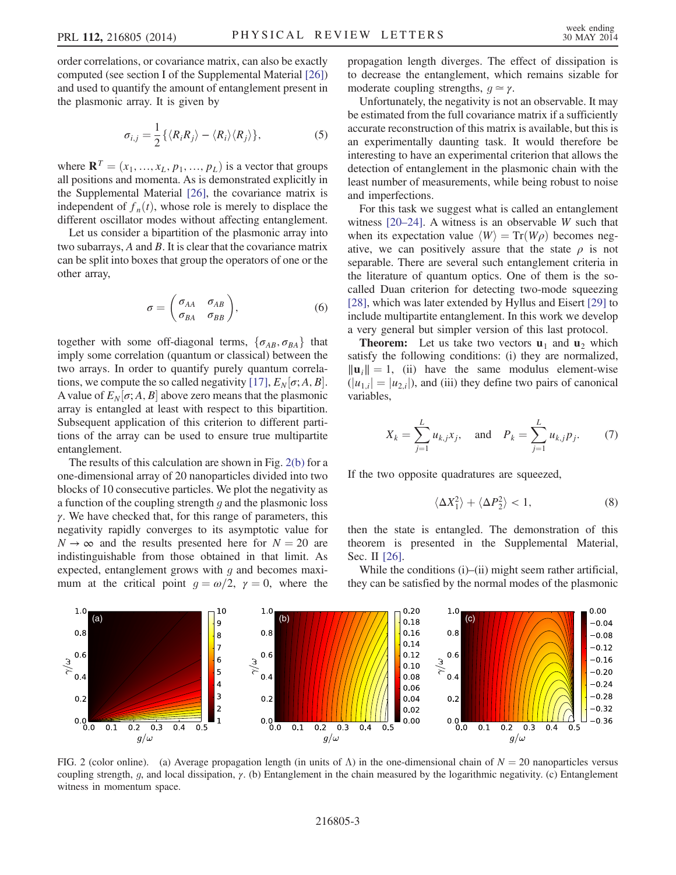order correlations, or covariance matrix, can also be exactly computed (see section I of the Supplemental Material [\[26\]\)](#page-4-15) and used to quantify the amount of entanglement present in the plasmonic array. It is given by

$$
\sigma_{i,j} = \frac{1}{2} \{ \langle R_i R_j \rangle - \langle R_i \rangle \langle R_j \rangle \},\tag{5}
$$

where  $\mathbf{R}^T = (x_1, \ldots, x_L, p_1, \ldots, p_L)$  is a vector that groups all positions and momenta. As is demonstrated explicitly in the Supplemental Material [\[26\],](#page-4-15) the covariance matrix is independent of  $f_n(t)$ , whose role is merely to displace the different oscillator modes without affecting entanglement.

Let us consider a bipartition of the plasmonic array into two subarrays, A and B. It is clear that the covariance matrix can be split into boxes that group the operators of one or the other array,

$$
\sigma = \begin{pmatrix} \sigma_{AA} & \sigma_{AB} \\ \sigma_{BA} & \sigma_{BB} \end{pmatrix}, \tag{6}
$$

together with some off-diagonal terms,  $\{\sigma_{AB}, \sigma_{BA}\}\$  that imply some correlation (quantum or classical) between the two arrays. In order to quantify purely quantum correla-tions, we compute the so called negativity [\[17\],](#page-4-11)  $E_N[\sigma; A, B]$ . A value of  $E_N[\sigma; A, B]$  above zero means that the plasmonic array is entangled at least with respect to this bipartition. Subsequent application of this criterion to different partitions of the array can be used to ensure true multipartite entanglement.

The results of this calculation are shown in Fig. [2\(b\)](#page-2-0) for a one-dimensional array of 20 nanoparticles divided into two blocks of 10 consecutive particles. We plot the negativity as a function of the coupling strength  $g$  and the plasmonic loss  $γ$ . We have checked that, for this range of parameters, this negativity rapidly converges to its asymptotic value for  $N \rightarrow \infty$  and the results presented here for  $N = 20$  are indistinguishable from those obtained in that limit. As expected, entanglement grows with  $q$  and becomes maximum at the critical point  $q = \omega/2$ ,  $\gamma = 0$ , where the propagation length diverges. The effect of dissipation is to decrease the entanglement, which remains sizable for moderate coupling strengths,  $q \approx \gamma$ .

Unfortunately, the negativity is not an observable. It may be estimated from the full covariance matrix if a sufficiently accurate reconstruction of this matrix is available, but this is an experimentally daunting task. It would therefore be interesting to have an experimental criterion that allows the detection of entanglement in the plasmonic chain with the least number of measurements, while being robust to noise and imperfections.

For this task we suggest what is called an entanglement witness  $[20-24]$  $[20-24]$ . A witness is an observable W such that when its expectation value  $\langle W \rangle = \text{Tr}(W\rho)$  becomes negative, we can positively assure that the state  $\rho$  is not separable. There are several such entanglement criteria in the literature of quantum optics. One of them is the socalled Duan criterion for detecting two-mode squeezing [\[28\]](#page-4-17), which was later extended by Hyllus and Eisert [\[29\]](#page-4-18) to include multipartite entanglement. In this work we develop a very general but simpler version of this last protocol.

**Theorem:** Let us take two vectors  $\mathbf{u}_1$  and  $\mathbf{u}_2$  which satisfy the following conditions: (i) they are normalized,  $||\mathbf{u}_i|| = 1$ , (ii) have the same modulus element-wise  $(|u_{1,i}| = |u_{2,i}|)$ , and (iii) they define two pairs of canonical variables,

$$
X_k = \sum_{j=1}^L u_{k,j} x_j
$$
, and  $P_k = \sum_{j=1}^L u_{k,j} p_j$ . (7)

If the two opposite quadratures are squeezed,

$$
\langle \Delta X_1^2 \rangle + \langle \Delta P_2^2 \rangle < 1,\tag{8}
$$

then the state is entangled. The demonstration of this theorem is presented in the Supplemental Material, Sec. II [\[26\].](#page-4-15)

While the conditions (i)–(ii) might seem rather artificial, they can be satisfied by the normal modes of the plasmonic

<span id="page-2-0"></span>

FIG. 2 (color online). (a) Average propagation length (in units of  $\Lambda$ ) in the one-dimensional chain of  $N = 20$  nanoparticles versus coupling strength, g, and local dissipation, γ. (b) Entanglement in the chain measured by the logarithmic negativity. (c) Entanglement witness in momentum space.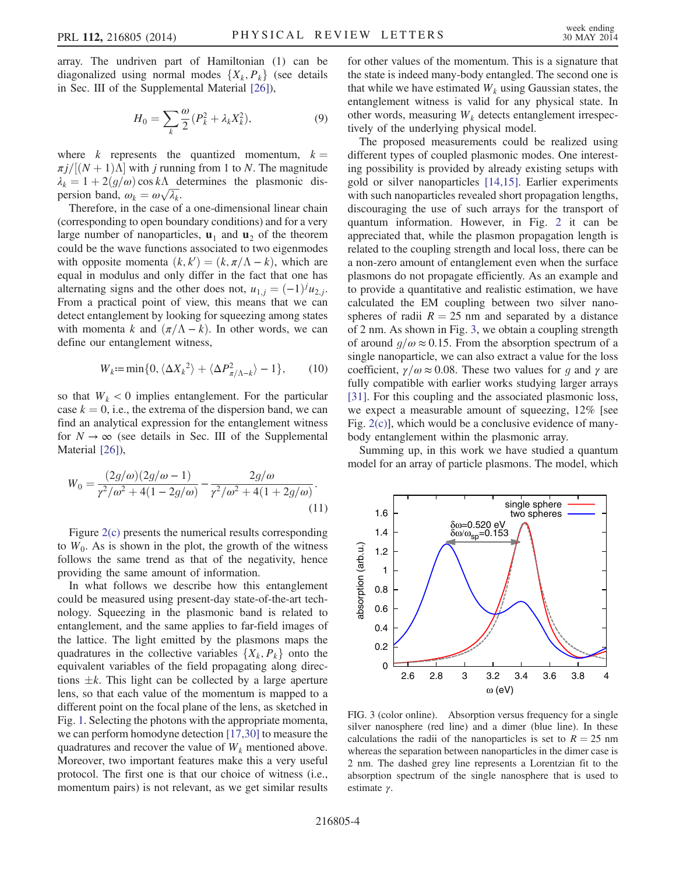array. The undriven part of Hamiltonian (1) can be diagonalized using normal modes  $\{X_k, P_k\}$  (see details in Sec. III of the Supplemental Material [\[26\]](#page-4-15)),

$$
H_0 = \sum_k \frac{\omega}{2} (P_k^2 + \lambda_k X_k^2),\tag{9}
$$

where k represents the quantized momentum,  $k =$  $\pi j/[(N+1)\Lambda]$  with j running from 1 to N. The magnitude  $\lambda_k = 1 + 2(g/\omega) \cos k\Lambda$  determines the plasmonic dispersion band,  $\omega_k = \omega \sqrt{\lambda_k}$ .<br>Therefore in the case of

Therefore, in the case of a one-dimensional linear chain (corresponding to open boundary conditions) and for a very large number of nanoparticles,  $\mathbf{u}_1$  and  $\mathbf{u}_2$  of the theorem could be the wave functions associated to two eigenmodes with opposite momenta  $(k, k') = (k, \pi/\Lambda - k)$ , which are equal in modulus and only differ in the fact that one has equal in modulus and only differ in the fact that one has alternating signs and the other does not,  $u_{1,j} = (-1)^j u_{2,j}$ .<br>From a practical point of view this means that we can From a practical point of view, this means that we can detect entanglement by looking for squeezing among states with momenta k and  $(\pi/\Lambda - k)$ . In other words, we can define our entanglement witness,

$$
W_k := \min\{0, \langle \Delta X_k^2 \rangle + \langle \Delta P_{\pi/\Lambda - k}^2 \rangle - 1\},\qquad(10)
$$

so that  $W_k < 0$  implies entanglement. For the particular case  $k = 0$ , i.e., the extrema of the dispersion band, we can find an analytical expression for the entanglement witness for  $N \to \infty$  (see details in Sec. III of the Supplemental Material [\[26\]\)](#page-4-15),

$$
W_0 = \frac{(2g/\omega)(2g/\omega - 1)}{\gamma^2/\omega^2 + 4(1 - 2g/\omega)} - \frac{2g/\omega}{\gamma^2/\omega^2 + 4(1 + 2g/\omega)}.
$$
\n(11)

Figure [2\(c\)](#page-2-0) presents the numerical results corresponding to  $W_0$ . As is shown in the plot, the growth of the witness follows the same trend as that of the negativity, hence providing the same amount of information.

In what follows we describe how this entanglement could be measured using present-day state-of-the-art technology. Squeezing in the plasmonic band is related to entanglement, and the same applies to far-field images of the lattice. The light emitted by the plasmons maps the quadratures in the collective variables  $\{X_k, P_k\}$  onto the equivalent variables of the field propagating along directions  $\pm k$ . This light can be collected by a large aperture<br>lens so that each value of the momentum is manned to a lens, so that each value of the momentum is mapped to a different point on the focal plane of the lens, as sketched in Fig. [1.](#page-1-0) Selecting the photons with the appropriate momenta, we can perform homodyne detection [\[17,30\]](#page-4-11) to measure the quadratures and recover the value of  $W_k$  mentioned above. Moreover, two important features make this a very useful protocol. The first one is that our choice of witness (i.e., momentum pairs) is not relevant, as we get similar results for other values of the momentum. This is a signature that the state is indeed many-body entangled. The second one is that while we have estimated  $W_k$  using Gaussian states, the entanglement witness is valid for any physical state. In other words, measuring  $W_k$  detects entanglement irrespectively of the underlying physical model.

The proposed measurements could be realized using different types of coupled plasmonic modes. One interesting possibility is provided by already existing setups with gold or silver nanoparticles [\[14,15\]](#page-4-10). Earlier experiments with such nanoparticles revealed short propagation lengths, discouraging the use of such arrays for the transport of quantum information. However, in Fig. [2](#page-2-0) it can be appreciated that, while the plasmon propagation length is related to the coupling strength and local loss, there can be a non-zero amount of entanglement even when the surface plasmons do not propagate efficiently. As an example and to provide a quantitative and realistic estimation, we have calculated the EM coupling between two silver nanospheres of radii  $R = 25$  nm and separated by a distance of 2 nm. As shown in Fig. [3,](#page-3-0) we obtain a coupling strength of around  $g/\omega \approx 0.15$ . From the absorption spectrum of a single nanoparticle, we can also extract a value for the loss coefficient,  $\gamma/\omega \approx 0.08$ . These two values for q and  $\gamma$  are fully compatible with earlier works studying larger arrays [\[31\]](#page-4-19). For this coupling and the associated plasmonic loss, we expect a measurable amount of squeezing, 12% [see Fig. [2\(c\)\]](#page-2-0), which would be a conclusive evidence of manybody entanglement within the plasmonic array.

Summing up, in this work we have studied a quantum model for an array of particle plasmons. The model, which

<span id="page-3-0"></span>

FIG. 3 (color online). Absorption versus frequency for a single silver nanosphere (red line) and a dimer (blue line). In these calculations the radii of the nanoparticles is set to  $R = 25$  nm whereas the separation between nanoparticles in the dimer case is 2 nm. The dashed grey line represents a Lorentzian fit to the absorption spectrum of the single nanosphere that is used to estimate γ.